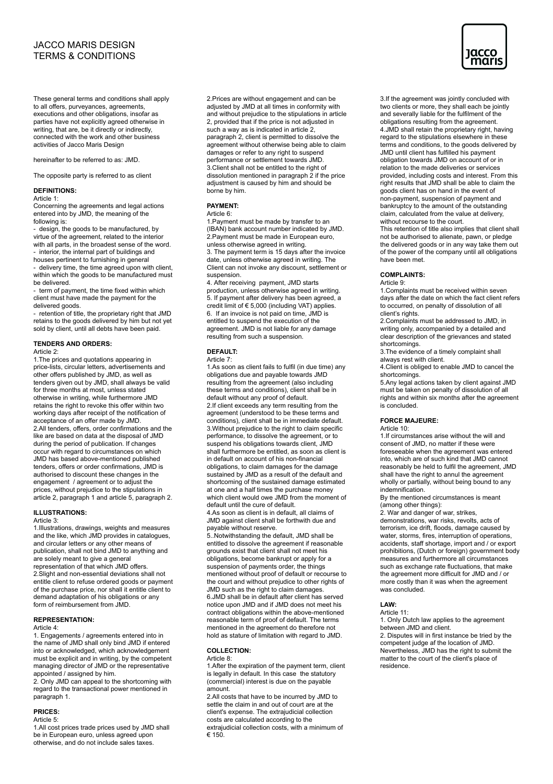# JACCO MARIS DESIGN TERMS & CONDITIONS

These general terms and conditions shall apply to all offers, purveyances, agreements, executions and other obligations, insofar as parties have not explicitly agreed otherwise in writing, that are, be it directly or indirectly, connected with the work and other business activities of Jacco Maris Design

hereinafter to be referred to as: JMD.

The opposite party is referred to as client

### **DEFINITIONS:**

Article 1:

Concerning the agreements and legal actions entered into by JMD, the meaning of the following is:

- design, the goods to be manufactured, by virtue of the agreement, related to the interior with all parts, in the broadest sense of the word. - interior, the internal part of buildings and

houses pertinent to furnishing in general - delivery time, the time agreed upon with client, within which the goods to be manufactured must be delivered.

- term of payment, the time fixed within which client must have made the payment for the delivered goods.

- retention of title, the proprietary right that JMD retains to the goods delivered by him but not yet sold by client, until all debts have been paid.

# **TENDERS AND ORDERS:**

Article 2:

1.The prices and quotations appearing in price-lists, circular letters, advertisements and other offers published by JMD, as well as tenders given out by JMD, shall always be valid for three months at most, unless stated otherwise in writing, while furthermore JMD retains the right to revoke this offer within two working days after receipt of the notification of acceptance of an offer made by JMD. 2.All tenders, offers, order confirmations and the like are based on data at the disposal of JMD during the period of publication. If changes occur with regard to circumstances on which JMD has based above-mentioned published tenders, offers or order confirmations, JMD is authorised to discount these changes in the engagement / agreement or to adjust the prices, without prejudice to the stipulations in article 2, paragraph 1 and article 5, paragraph 2.

### **ILLUSTRATIONS:**

### Article 3:

1.Illustrations, drawings, weights and measures and the like, which JMD provides in catalogues, and circular letters or any other means of publication, shall not bind JMD to anything and are solely meant to give a general representation of that which JMD offers. 2.Slight and non-essential deviations shall not entitle client to refuse ordered goods or payment of the purchase price, nor shall it entitle client to demand adaptation of his obligations or any form of reimbursement from JMD.

#### **REPRESENTATION:**

Article 4:

1. Engagements / agreements entered into in the name of JMD shall only bind JMD if entered into or acknowledged, which acknowledgement must be explicit and in writing, by the competent managing director of JMD or the representative appointed / assigned by him.

2. Only JMD can appeal to the shortcoming with regard to the transactional power mentioned in paragraph 1.

# **PRICES:**

Article 5:

1.All cost prices trade prices used by JMD shall be in European euro, unless agreed upon otherwise, and do not include sales taxes.

2.Prices are without engagement and can be adjusted by JMD at all times in conformity with and without prejudice to the stipulations in article 2, provided that if the price is not adjusted in such a way as is indicated in article 2, paragraph 2, client is permitted to dissolve the agreement without otherwise being able to claim damages or refer to any right to suspend performance or settlement towards JMD. 3.Client shall not be entitled to the right of dissolution mentioned in paragraph  $\overline{2}$  if the price adjustment is caused by him and should be borne by him.

### **PAYMENT:**

Article 6:

1.Payment must be made by transfer to an (IBAN) bank account number indicated by JMD. 2.Payment must be made in European euro, unless otherwise agreed in writing. 3. The payment term is 15 days after the invoice

date, unless otherwise agreed in writing. The Client can not invoke any discount, settlement or suspension.

4. After receiving payment, JMD starts production, unless otherwise agreed in writing. 5. If payment after delivery has been agreed, a credit limit of € 5,000 (including VAT) applies. 6. If an invoice is not paid on time, JMD is entitled to suspend the execution of the agreement. JMD is not liable for any damage resulting from such a suspension.

### **DEFAULT:**

Article 7:

1.As soon as client fails to fulfil (in due time) any obligations due and payable towards JMD resulting from the agreement (also including these terms and conditions), client shall be in default without any proof of default. 2.If client exceeds any term resulting from the agreement (understood to be these terms and conditions), client shall be in immediate default. 3.Without prejudice to the right to claim specific performance, to dissolve the agreement, or to suspend his obligations towards client, JMD shall furthermore be entitled, as soon as client is in default on account of his non-financial obligations, to claim damages for the damage sustained by JMD as a result of the default and shortcoming of the sustained damage estimated at one and a half times the purchase money which client would owe JMD from the moment of default until the cure of default.

4.As soon as client is in default, all claims of JMD against client shall be forthwith due and payable without reserve.

5..Notwithstanding the default, JMD shall be entitled to dissolve the agreement if reasonable grounds exist that client shall not meet his obligations, become bankrupt or apply for a suspension of payments order, the things mentioned without proof of default or recourse to the court and without prejudice to other rights of JMD such as the right to claim damages. 6.JMD shall be in default after client has served notice upon JMD and if JMD does not meet his contract obligations within the above-mentioned reasonable term of proof of default. The terms mentioned in the agreement do therefore not hold as stature of limitation with regard to JMD.

#### **COLLECTION:** Article 8:

1.After the expiration of the payment term, client is legally in default. In this case the statutory (commercial) interest is due on the payable amount.

2.All costs that have to be incurred by JMD to settle the claim in and out of court are at the client's expense. The extrajudicial collection costs are calculated according to the extrajudicial collection costs, with a minimum of € 150.

3.If the agreement was jointly concluded with two clients or more, they shall each be jointly and severally liable for the fulfilment of the obligations resulting from the agreement. 4.JMD shall retain the proprietary right, having regard to the stipulations elsewhere in these terms and conditions, to the goods delivered by JMD until client has fulfilled his payment obligation towards JMD on account of or in relation to the made deliveries or services provided, including costs and interest. From this right results that JMD shall be able to claim the goods client has on hand in the event of non-payment, suspension of payment and bankruptcy to the amount of the outstanding claim, calculated from the value at delivery, without recourse to the court.

This retention of title also implies that client shall not be authorised to alienate, pawn, or pledge the delivered goods or in any way take them out of the power of the company until all obligations have been met.

### **COMPLAINTS:**

Article 9:

1.Complaints must be received within seven days after the date on which the fact client refers to occurred, on penalty of dissolution of all client's rights.

2.Complaints must be addressed to JMD, in writing only, accompanied by a detailed and clear description of the grievances and stated shortcomings.

3.The evidence of a timely complaint shall always rest with client.

4.Client is obliged to enable JMD to cancel the shortcomings.

5.Any legal actions taken by client against JMD must be taken on penalty of dissolution of all rights and within six months after the agreement is concluded.

# **FORCE MAJEURE:**

Article 10:

1.If circumstances arise without the will and consent of JMD, no matter if these were foreseeable when the agreement was entered into, which are of such kind that JMD cannot reasonably be held to fulfil the agreement, JMD shall have the right to annul the agreement wholly or partially, without being bound to any indemnification.

By the mentioned circumstances is meant (among other things):

2. War and danger of war, strikes,

demonstrations, war risks, revolts, acts of terrorism, ice drift, floods, damage caused by water, storms, fires, interruption of operations, accidents, staff shortage, import and / or export prohibitions, (Dutch or foreign) government body measures and furthermore all circumstances such as exchange rate fluctuations, that make the agreement more difficult for JMD and / or more costly than it was when the agreement was concluded.

#### **LAW:** Article 11:

1. Only Dutch law applies to the agreement between JMD and client. 2. Disputes will in first instance be tried by the competent judge af the location of JMD. Nevertheless, JMD has the right to submit the matter to the court of the client's place of residence.